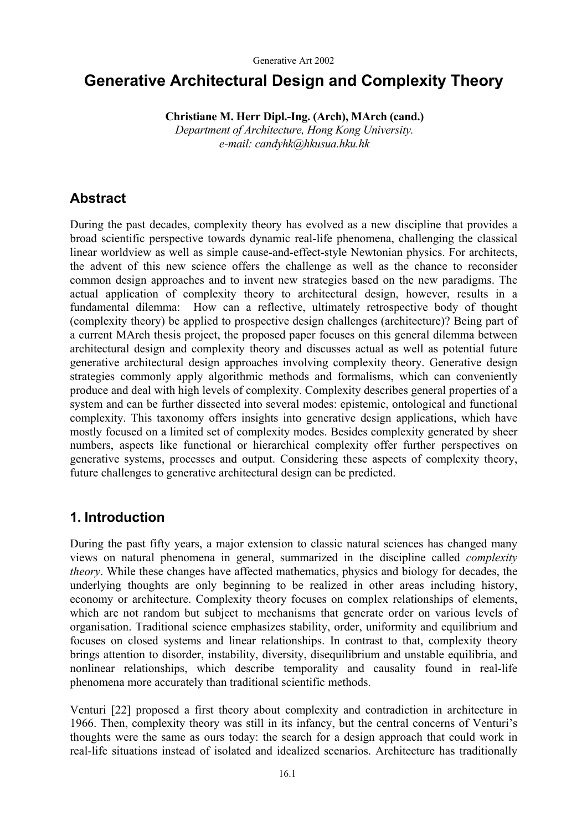# **Generative Architectural Design and Complexity Theory**

 **Christiane M. Herr Dipl.-Ing. (Arch), MArch (cand.)** 

*Department of Architecture, Hong Kong University. e-mail: candyhk@hkusua.hku.hk* 

## **Abstract**

During the past decades, complexity theory has evolved as a new discipline that provides a broad scientific perspective towards dynamic real-life phenomena, challenging the classical linear worldview as well as simple cause-and-effect-style Newtonian physics. For architects, the advent of this new science offers the challenge as well as the chance to reconsider common design approaches and to invent new strategies based on the new paradigms. The actual application of complexity theory to architectural design, however, results in a fundamental dilemma: How can a reflective, ultimately retrospective body of thought (complexity theory) be applied to prospective design challenges (architecture)? Being part of a current MArch thesis project, the proposed paper focuses on this general dilemma between architectural design and complexity theory and discusses actual as well as potential future generative architectural design approaches involving complexity theory. Generative design strategies commonly apply algorithmic methods and formalisms, which can conveniently produce and deal with high levels of complexity. Complexity describes general properties of a system and can be further dissected into several modes: epistemic, ontological and functional complexity. This taxonomy offers insights into generative design applications, which have mostly focused on a limited set of complexity modes. Besides complexity generated by sheer numbers, aspects like functional or hierarchical complexity offer further perspectives on generative systems, processes and output. Considering these aspects of complexity theory, future challenges to generative architectural design can be predicted.

## **1. Introduction**

During the past fifty years, a major extension to classic natural sciences has changed many views on natural phenomena in general, summarized in the discipline called *complexity theory*. While these changes have affected mathematics, physics and biology for decades, the underlying thoughts are only beginning to be realized in other areas including history, economy or architecture. Complexity theory focuses on complex relationships of elements, which are not random but subject to mechanisms that generate order on various levels of organisation. Traditional science emphasizes stability, order, uniformity and equilibrium and focuses on closed systems and linear relationships. In contrast to that, complexity theory brings attention to disorder, instability, diversity, disequilibrium and unstable equilibria, and nonlinear relationships, which describe temporality and causality found in real-life phenomena more accurately than traditional scientific methods.

Venturi [22] proposed a first theory about complexity and contradiction in architecture in 1966. Then, complexity theory was still in its infancy, but the central concerns of Venturi's thoughts were the same as ours today: the search for a design approach that could work in real-life situations instead of isolated and idealized scenarios. Architecture has traditionally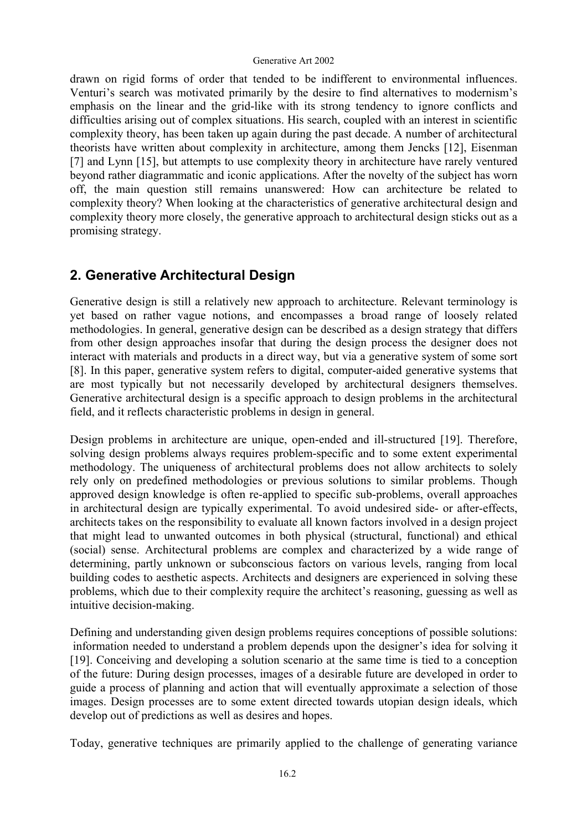drawn on rigid forms of order that tended to be indifferent to environmental influences. Venturi's search was motivated primarily by the desire to find alternatives to modernism's emphasis on the linear and the grid-like with its strong tendency to ignore conflicts and difficulties arising out of complex situations. His search, coupled with an interest in scientific complexity theory, has been taken up again during the past decade. A number of architectural theorists have written about complexity in architecture, among them Jencks [12], Eisenman [7] and Lynn [15], but attempts to use complexity theory in architecture have rarely ventured beyond rather diagrammatic and iconic applications. After the novelty of the subject has worn off, the main question still remains unanswered: How can architecture be related to complexity theory? When looking at the characteristics of generative architectural design and complexity theory more closely, the generative approach to architectural design sticks out as a promising strategy.

## **2. Generative Architectural Design**

Generative design is still a relatively new approach to architecture. Relevant terminology is yet based on rather vague notions, and encompasses a broad range of loosely related methodologies. In general, generative design can be described as a design strategy that differs from other design approaches insofar that during the design process the designer does not interact with materials and products in a direct way, but via a generative system of some sort [8]. In this paper, generative system refers to digital, computer-aided generative systems that are most typically but not necessarily developed by architectural designers themselves. Generative architectural design is a specific approach to design problems in the architectural field, and it reflects characteristic problems in design in general.

Design problems in architecture are unique, open-ended and ill-structured [19]. Therefore, solving design problems always requires problem-specific and to some extent experimental methodology. The uniqueness of architectural problems does not allow architects to solely rely only on predefined methodologies or previous solutions to similar problems. Though approved design knowledge is often re-applied to specific sub-problems, overall approaches in architectural design are typically experimental. To avoid undesired side- or after-effects, architects takes on the responsibility to evaluate all known factors involved in a design project that might lead to unwanted outcomes in both physical (structural, functional) and ethical (social) sense. Architectural problems are complex and characterized by a wide range of determining, partly unknown or subconscious factors on various levels, ranging from local building codes to aesthetic aspects. Architects and designers are experienced in solving these problems, which due to their complexity require the architect's reasoning, guessing as well as intuitive decision-making.

Defining and understanding given design problems requires conceptions of possible solutions: information needed to understand a problem depends upon the designer's idea for solving it [19]. Conceiving and developing a solution scenario at the same time is tied to a conception of the future: During design processes, images of a desirable future are developed in order to guide a process of planning and action that will eventually approximate a selection of those images. Design processes are to some extent directed towards utopian design ideals, which develop out of predictions as well as desires and hopes.

Today, generative techniques are primarily applied to the challenge of generating variance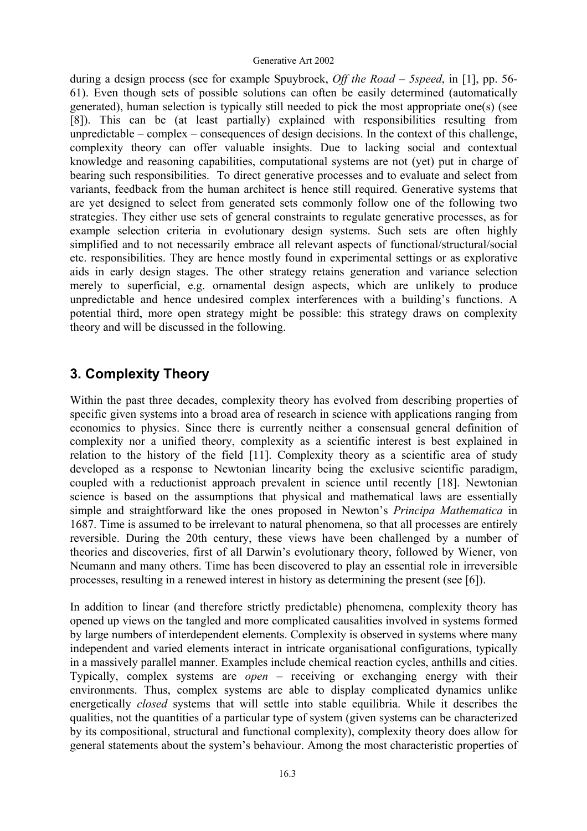during a design process (see for example Spuybroek, *Off the Road – 5speed*, in [1], pp. 56- 61). Even though sets of possible solutions can often be easily determined (automatically generated), human selection is typically still needed to pick the most appropriate one(s) (see [8]). This can be (at least partially) explained with responsibilities resulting from unpredictable – complex – consequences of design decisions. In the context of this challenge, complexity theory can offer valuable insights. Due to lacking social and contextual knowledge and reasoning capabilities, computational systems are not (yet) put in charge of bearing such responsibilities. To direct generative processes and to evaluate and select from variants, feedback from the human architect is hence still required. Generative systems that are yet designed to select from generated sets commonly follow one of the following two strategies. They either use sets of general constraints to regulate generative processes, as for example selection criteria in evolutionary design systems. Such sets are often highly simplified and to not necessarily embrace all relevant aspects of functional/structural/social etc. responsibilities. They are hence mostly found in experimental settings or as explorative aids in early design stages. The other strategy retains generation and variance selection merely to superficial, e.g. ornamental design aspects, which are unlikely to produce unpredictable and hence undesired complex interferences with a building's functions. A potential third, more open strategy might be possible: this strategy draws on complexity theory and will be discussed in the following.

## **3. Complexity Theory**

Within the past three decades, complexity theory has evolved from describing properties of specific given systems into a broad area of research in science with applications ranging from economics to physics. Since there is currently neither a consensual general definition of complexity nor a unified theory, complexity as a scientific interest is best explained in relation to the history of the field [11]. Complexity theory as a scientific area of study developed as a response to Newtonian linearity being the exclusive scientific paradigm, coupled with a reductionist approach prevalent in science until recently [18]. Newtonian science is based on the assumptions that physical and mathematical laws are essentially simple and straightforward like the ones proposed in Newton's *Principa Mathematica* in 1687. Time is assumed to be irrelevant to natural phenomena, so that all processes are entirely reversible. During the 20th century, these views have been challenged by a number of theories and discoveries, first of all Darwin's evolutionary theory, followed by Wiener, von Neumann and many others. Time has been discovered to play an essential role in irreversible processes, resulting in a renewed interest in history as determining the present (see [6]).

In addition to linear (and therefore strictly predictable) phenomena, complexity theory has opened up views on the tangled and more complicated causalities involved in systems formed by large numbers of interdependent elements. Complexity is observed in systems where many independent and varied elements interact in intricate organisational configurations, typically in a massively parallel manner. Examples include chemical reaction cycles, anthills and cities. Typically, complex systems are *open* – receiving or exchanging energy with their environments. Thus, complex systems are able to display complicated dynamics unlike energetically *closed* systems that will settle into stable equilibria. While it describes the qualities, not the quantities of a particular type of system (given systems can be characterized by its compositional, structural and functional complexity), complexity theory does allow for general statements about the system's behaviour. Among the most characteristic properties of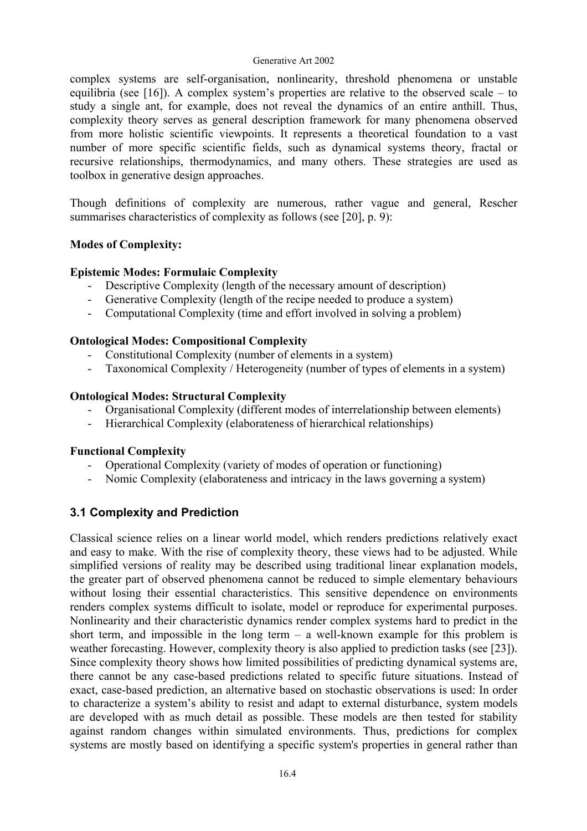complex systems are self-organisation, nonlinearity, threshold phenomena or unstable equilibria (see [16]). A complex system's properties are relative to the observed scale – to study a single ant, for example, does not reveal the dynamics of an entire anthill. Thus, complexity theory serves as general description framework for many phenomena observed from more holistic scientific viewpoints. It represents a theoretical foundation to a vast number of more specific scientific fields, such as dynamical systems theory, fractal or recursive relationships, thermodynamics, and many others. These strategies are used as toolbox in generative design approaches.

Though definitions of complexity are numerous, rather vague and general, Rescher summarises characteristics of complexity as follows (see [20], p. 9):

### **Modes of Complexity:**

### **Epistemic Modes: Formulaic Complexity**

- Descriptive Complexity (length of the necessary amount of description)
- Generative Complexity (length of the recipe needed to produce a system)
- Computational Complexity (time and effort involved in solving a problem)

### **Ontological Modes: Compositional Complexity**

- Constitutional Complexity (number of elements in a system)
- Taxonomical Complexity / Heterogeneity (number of types of elements in a system)

### **Ontological Modes: Structural Complexity**

- Organisational Complexity (different modes of interrelationship between elements)
- Hierarchical Complexity (elaborateness of hierarchical relationships)

### **Functional Complexity**

- Operational Complexity (variety of modes of operation or functioning)
- Nomic Complexity (elaborateness and intricacy in the laws governing a system)

### **3.1 Complexity and Prediction**

Classical science relies on a linear world model, which renders predictions relatively exact and easy to make. With the rise of complexity theory, these views had to be adjusted. While simplified versions of reality may be described using traditional linear explanation models, the greater part of observed phenomena cannot be reduced to simple elementary behaviours without losing their essential characteristics. This sensitive dependence on environments renders complex systems difficult to isolate, model or reproduce for experimental purposes. Nonlinearity and their characteristic dynamics render complex systems hard to predict in the short term, and impossible in the long term  $-$  a well-known example for this problem is weather forecasting. However, complexity theory is also applied to prediction tasks (see [23]). Since complexity theory shows how limited possibilities of predicting dynamical systems are, there cannot be any case-based predictions related to specific future situations. Instead of exact, case-based prediction, an alternative based on stochastic observations is used: In order to characterize a system's ability to resist and adapt to external disturbance, system models are developed with as much detail as possible. These models are then tested for stability against random changes within simulated environments. Thus, predictions for complex systems are mostly based on identifying a specific system's properties in general rather than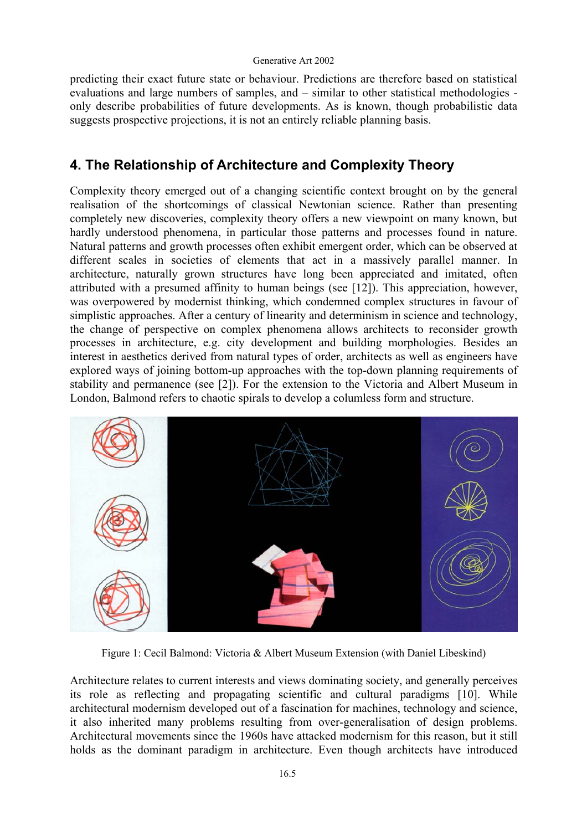predicting their exact future state or behaviour. Predictions are therefore based on statistical evaluations and large numbers of samples, and – similar to other statistical methodologies only describe probabilities of future developments. As is known, though probabilistic data suggests prospective projections, it is not an entirely reliable planning basis.

## **4. The Relationship of Architecture and Complexity Theory**

Complexity theory emerged out of a changing scientific context brought on by the general realisation of the shortcomings of classical Newtonian science. Rather than presenting completely new discoveries, complexity theory offers a new viewpoint on many known, but hardly understood phenomena, in particular those patterns and processes found in nature. Natural patterns and growth processes often exhibit emergent order, which can be observed at different scales in societies of elements that act in a massively parallel manner. In architecture, naturally grown structures have long been appreciated and imitated, often attributed with a presumed affinity to human beings (see [12]). This appreciation, however, was overpowered by modernist thinking, which condemned complex structures in favour of simplistic approaches. After a century of linearity and determinism in science and technology, the change of perspective on complex phenomena allows architects to reconsider growth processes in architecture, e.g. city development and building morphologies. Besides an interest in aesthetics derived from natural types of order, architects as well as engineers have explored ways of joining bottom-up approaches with the top-down planning requirements of stability and permanence (see [2]). For the extension to the Victoria and Albert Museum in London, Balmond refers to chaotic spirals to develop a columless form and structure.



Figure 1: Cecil Balmond: Victoria & Albert Museum Extension (with Daniel Libeskind)

Architecture relates to current interests and views dominating society, and generally perceives its role as reflecting and propagating scientific and cultural paradigms [10]. While architectural modernism developed out of a fascination for machines, technology and science, it also inherited many problems resulting from over-generalisation of design problems. Architectural movements since the 1960s have attacked modernism for this reason, but it still holds as the dominant paradigm in architecture. Even though architects have introduced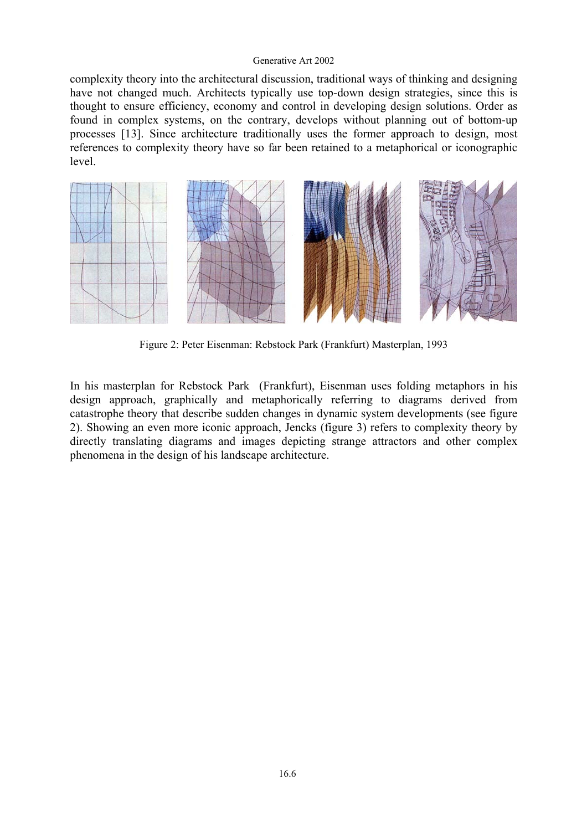complexity theory into the architectural discussion, traditional ways of thinking and designing have not changed much. Architects typically use top-down design strategies, since this is thought to ensure efficiency, economy and control in developing design solutions. Order as found in complex systems, on the contrary, develops without planning out of bottom-up processes [13]. Since architecture traditionally uses the former approach to design, most references to complexity theory have so far been retained to a metaphorical or iconographic level.



Figure 2: Peter Eisenman: Rebstock Park (Frankfurt) Masterplan, 1993

In his masterplan for Rebstock Park (Frankfurt), Eisenman uses folding metaphors in his design approach, graphically and metaphorically referring to diagrams derived from catastrophe theory that describe sudden changes in dynamic system developments (see figure 2). Showing an even more iconic approach, Jencks (figure 3) refers to complexity theory by directly translating diagrams and images depicting strange attractors and other complex phenomena in the design of his landscape architecture.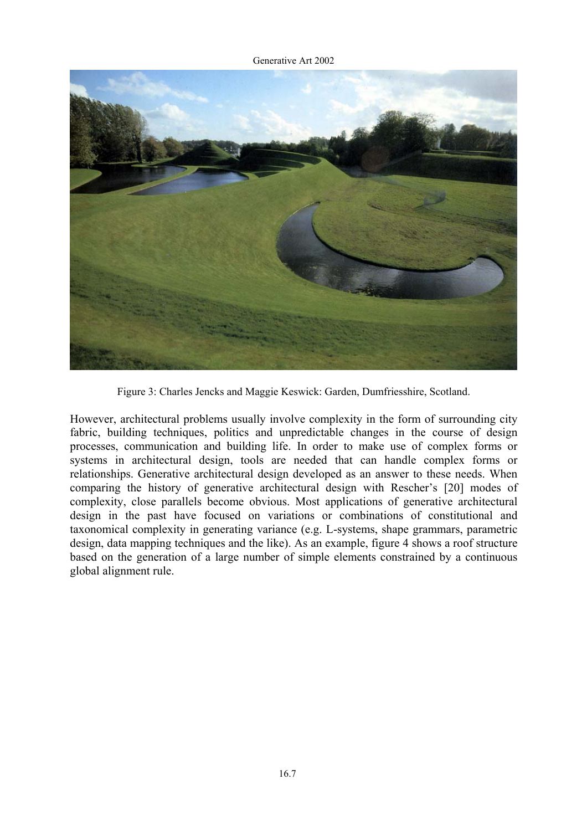

Figure 3: Charles Jencks and Maggie Keswick: Garden, Dumfriesshire, Scotland.

However, architectural problems usually involve complexity in the form of surrounding city fabric, building techniques, politics and unpredictable changes in the course of design processes, communication and building life. In order to make use of complex forms or systems in architectural design, tools are needed that can handle complex forms or relationships. Generative architectural design developed as an answer to these needs. When comparing the history of generative architectural design with Rescher's [20] modes of complexity, close parallels become obvious. Most applications of generative architectural design in the past have focused on variations or combinations of constitutional and taxonomical complexity in generating variance (e.g. L-systems, shape grammars, parametric design, data mapping techniques and the like). As an example, figure 4 shows a roof structure based on the generation of a large number of simple elements constrained by a continuous global alignment rule.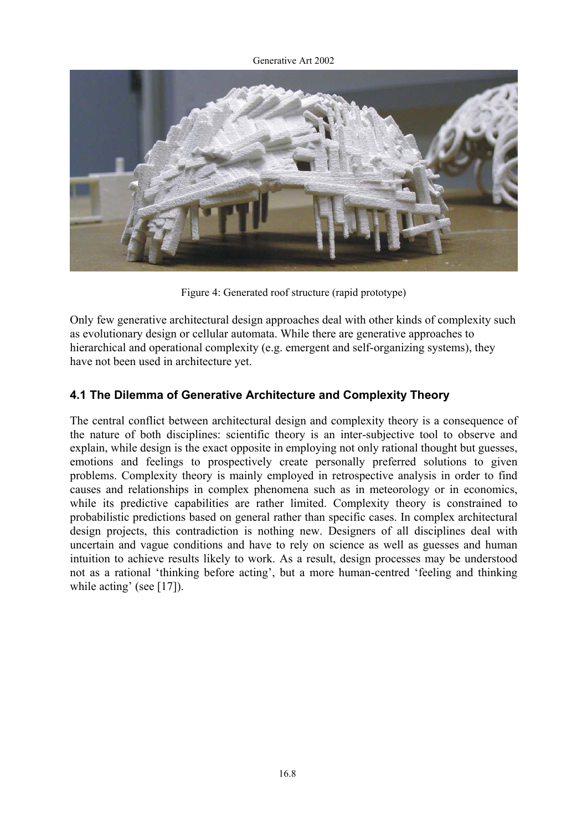

Figure 4: Generated roof structure (rapid prototype)

Only few generative architectural design approaches deal with other kinds of complexity such as evolutionary design or cellular automata. While there are generative approaches to hierarchical and operational complexity (e.g. emergent and self-organizing systems), they have not been used in architecture yet.

### **4.1 The Dilemma of Generative Architecture and Complexity Theory**

The central conflict between architectural design and complexity theory is a consequence of the nature of both disciplines: scientific theory is an inter-subjective tool to observe and explain, while design is the exact opposite in employing not only rational thought but guesses, emotions and feelings to prospectively create personally preferred solutions to given problems. Complexity theory is mainly employed in retrospective analysis in order to find causes and relationships in complex phenomena such as in meteorology or in economics, while its predictive capabilities are rather limited. Complexity theory is constrained to probabilistic predictions based on general rather than specific cases. In complex architectural design projects, this contradiction is nothing new. Designers of all disciplines deal with uncertain and vague conditions and have to rely on science as well as guesses and human intuition to achieve results likely to work. As a result, design processes may be understood not as a rational 'thinking before acting', but a more human-centred 'feeling and thinking while acting' (see [17]).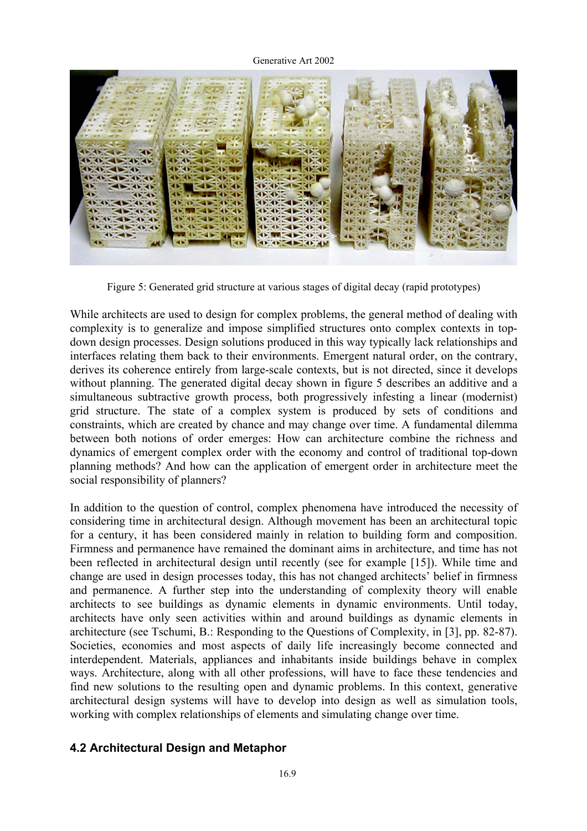

Figure 5: Generated grid structure at various stages of digital decay (rapid prototypes)

While architects are used to design for complex problems, the general method of dealing with complexity is to generalize and impose simplified structures onto complex contexts in topdown design processes. Design solutions produced in this way typically lack relationships and interfaces relating them back to their environments. Emergent natural order, on the contrary, derives its coherence entirely from large-scale contexts, but is not directed, since it develops without planning. The generated digital decay shown in figure 5 describes an additive and a simultaneous subtractive growth process, both progressively infesting a linear (modernist) grid structure. The state of a complex system is produced by sets of conditions and constraints, which are created by chance and may change over time. A fundamental dilemma between both notions of order emerges: How can architecture combine the richness and dynamics of emergent complex order with the economy and control of traditional top-down planning methods? And how can the application of emergent order in architecture meet the social responsibility of planners?

In addition to the question of control, complex phenomena have introduced the necessity of considering time in architectural design. Although movement has been an architectural topic for a century, it has been considered mainly in relation to building form and composition. Firmness and permanence have remained the dominant aims in architecture, and time has not been reflected in architectural design until recently (see for example [15]). While time and change are used in design processes today, this has not changed architects' belief in firmness and permanence. A further step into the understanding of complexity theory will enable architects to see buildings as dynamic elements in dynamic environments. Until today, architects have only seen activities within and around buildings as dynamic elements in architecture (see Tschumi, B.: Responding to the Questions of Complexity, in [3], pp. 82-87). Societies, economies and most aspects of daily life increasingly become connected and interdependent. Materials, appliances and inhabitants inside buildings behave in complex ways. Architecture, along with all other professions, will have to face these tendencies and find new solutions to the resulting open and dynamic problems. In this context, generative architectural design systems will have to develop into design as well as simulation tools, working with complex relationships of elements and simulating change over time.

### **4.2 Architectural Design and Metaphor**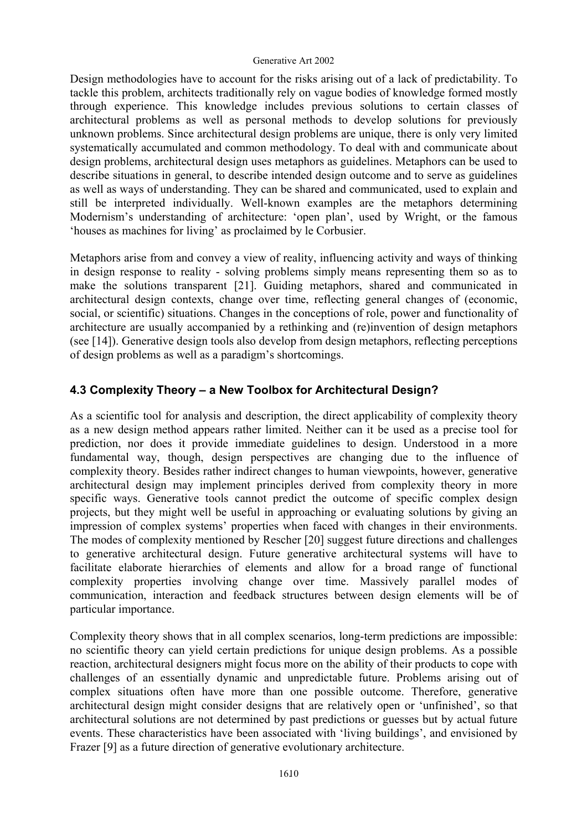Design methodologies have to account for the risks arising out of a lack of predictability. To tackle this problem, architects traditionally rely on vague bodies of knowledge formed mostly through experience. This knowledge includes previous solutions to certain classes of architectural problems as well as personal methods to develop solutions for previously unknown problems. Since architectural design problems are unique, there is only very limited systematically accumulated and common methodology. To deal with and communicate about design problems, architectural design uses metaphors as guidelines. Metaphors can be used to describe situations in general, to describe intended design outcome and to serve as guidelines as well as ways of understanding. They can be shared and communicated, used to explain and still be interpreted individually. Well-known examples are the metaphors determining Modernism's understanding of architecture: 'open plan', used by Wright, or the famous 'houses as machines for living' as proclaimed by le Corbusier.

Metaphors arise from and convey a view of reality, influencing activity and ways of thinking in design response to reality - solving problems simply means representing them so as to make the solutions transparent [21]. Guiding metaphors, shared and communicated in architectural design contexts, change over time, reflecting general changes of (economic, social, or scientific) situations. Changes in the conceptions of role, power and functionality of architecture are usually accompanied by a rethinking and (re)invention of design metaphors (see [14]). Generative design tools also develop from design metaphors, reflecting perceptions of design problems as well as a paradigm's shortcomings.

### **4.3 Complexity Theory – a New Toolbox for Architectural Design?**

As a scientific tool for analysis and description, the direct applicability of complexity theory as a new design method appears rather limited. Neither can it be used as a precise tool for prediction, nor does it provide immediate guidelines to design. Understood in a more fundamental way, though, design perspectives are changing due to the influence of complexity theory. Besides rather indirect changes to human viewpoints, however, generative architectural design may implement principles derived from complexity theory in more specific ways. Generative tools cannot predict the outcome of specific complex design projects, but they might well be useful in approaching or evaluating solutions by giving an impression of complex systems' properties when faced with changes in their environments. The modes of complexity mentioned by Rescher [20] suggest future directions and challenges to generative architectural design. Future generative architectural systems will have to facilitate elaborate hierarchies of elements and allow for a broad range of functional complexity properties involving change over time. Massively parallel modes of communication, interaction and feedback structures between design elements will be of particular importance.

Complexity theory shows that in all complex scenarios, long-term predictions are impossible: no scientific theory can yield certain predictions for unique design problems. As a possible reaction, architectural designers might focus more on the ability of their products to cope with challenges of an essentially dynamic and unpredictable future. Problems arising out of complex situations often have more than one possible outcome. Therefore, generative architectural design might consider designs that are relatively open or 'unfinished', so that architectural solutions are not determined by past predictions or guesses but by actual future events. These characteristics have been associated with 'living buildings', and envisioned by Frazer [9] as a future direction of generative evolutionary architecture.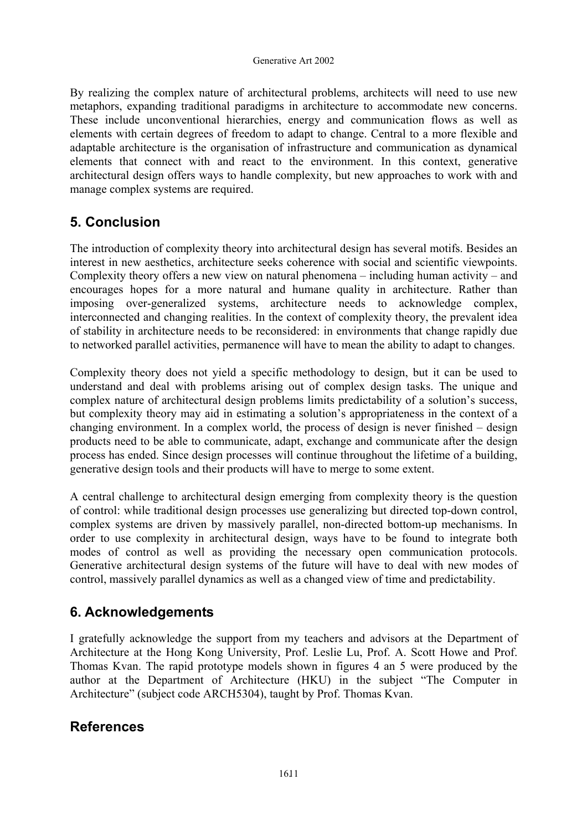By realizing the complex nature of architectural problems, architects will need to use new metaphors, expanding traditional paradigms in architecture to accommodate new concerns. These include unconventional hierarchies, energy and communication flows as well as elements with certain degrees of freedom to adapt to change. Central to a more flexible and adaptable architecture is the organisation of infrastructure and communication as dynamical elements that connect with and react to the environment. In this context, generative architectural design offers ways to handle complexity, but new approaches to work with and manage complex systems are required.

## **5. Conclusion**

The introduction of complexity theory into architectural design has several motifs. Besides an interest in new aesthetics, architecture seeks coherence with social and scientific viewpoints. Complexity theory offers a new view on natural phenomena – including human activity – and encourages hopes for a more natural and humane quality in architecture. Rather than imposing over-generalized systems, architecture needs to acknowledge complex, interconnected and changing realities. In the context of complexity theory, the prevalent idea of stability in architecture needs to be reconsidered: in environments that change rapidly due to networked parallel activities, permanence will have to mean the ability to adapt to changes.

Complexity theory does not yield a specific methodology to design, but it can be used to understand and deal with problems arising out of complex design tasks. The unique and complex nature of architectural design problems limits predictability of a solution's success, but complexity theory may aid in estimating a solution's appropriateness in the context of a changing environment. In a complex world, the process of design is never finished – design products need to be able to communicate, adapt, exchange and communicate after the design process has ended. Since design processes will continue throughout the lifetime of a building, generative design tools and their products will have to merge to some extent.

A central challenge to architectural design emerging from complexity theory is the question of control: while traditional design processes use generalizing but directed top-down control, complex systems are driven by massively parallel, non-directed bottom-up mechanisms. In order to use complexity in architectural design, ways have to be found to integrate both modes of control as well as providing the necessary open communication protocols. Generative architectural design systems of the future will have to deal with new modes of control, massively parallel dynamics as well as a changed view of time and predictability.

## **6. Acknowledgements**

I gratefully acknowledge the support from my teachers and advisors at the Department of Architecture at the Hong Kong University, Prof. Leslie Lu, Prof. A. Scott Howe and Prof. Thomas Kvan. The rapid prototype models shown in figures 4 an 5 were produced by the author at the Department of Architecture (HKU) in the subject "The Computer in Architecture" (subject code ARCH5304), taught by Prof. Thomas Kvan.

## **References**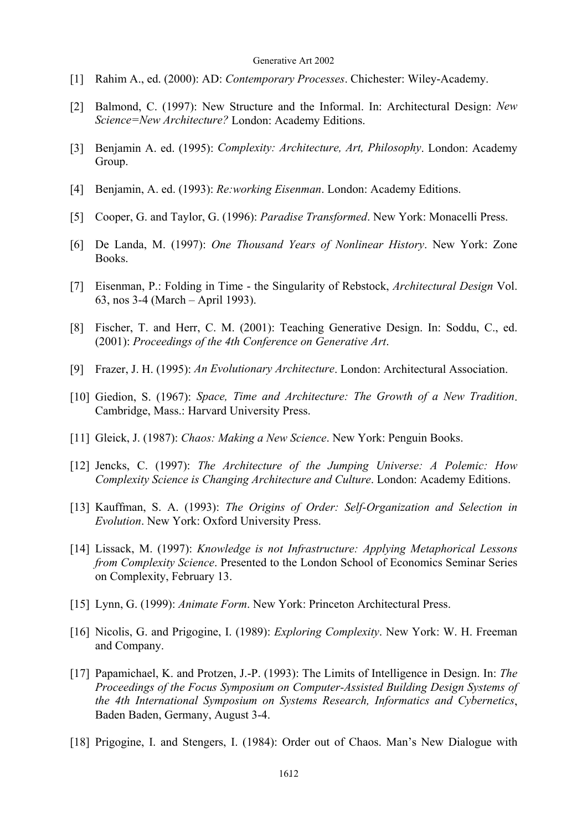- [1] Rahim A., ed. (2000): AD: *Contemporary Processes*. Chichester: Wiley-Academy.
- [2] Balmond, C. (1997): New Structure and the Informal. In: Architectural Design: *New Science=New Architecture?* London: Academy Editions.
- [3] Benjamin A. ed. (1995): *Complexity: Architecture, Art, Philosophy*. London: Academy Group.
- [4] Benjamin, A. ed. (1993): *Re:working Eisenman*. London: Academy Editions.
- [5] Cooper, G. and Taylor, G. (1996): *Paradise Transformed*. New York: Monacelli Press.
- [6] De Landa, M. (1997): *One Thousand Years of Nonlinear History*. New York: Zone Books.
- [7] Eisenman, P.: Folding in Time the Singularity of Rebstock, *Architectural Design* Vol. 63, nos 3-4 (March – April 1993).
- [8] Fischer, T. and Herr, C. M. (2001): Teaching Generative Design. In: Soddu, C., ed. (2001): *Proceedings of the 4th Conference on Generative Art*.
- [9] Frazer, J. H. (1995): *An Evolutionary Architecture*. London: Architectural Association.
- [10] Giedion, S. (1967): *Space, Time and Architecture: The Growth of a New Tradition*. Cambridge, Mass.: Harvard University Press.
- [11] Gleick, J. (1987): *Chaos: Making a New Science*. New York: Penguin Books.
- [12] Jencks, C. (1997): *The Architecture of the Jumping Universe: A Polemic: How Complexity Science is Changing Architecture and Culture*. London: Academy Editions.
- [13] Kauffman, S. A. (1993): *The Origins of Order: Self-Organization and Selection in Evolution*. New York: Oxford University Press.
- [14] Lissack, M. (1997): *Knowledge is not Infrastructure: Applying Metaphorical Lessons from Complexity Science*. Presented to the London School of Economics Seminar Series on Complexity, February 13.
- [15] Lynn, G. (1999): *Animate Form*. New York: Princeton Architectural Press.
- [16] Nicolis, G. and Prigogine, I. (1989): *Exploring Complexity*. New York: W. H. Freeman and Company.
- [17] Papamichael, K. and Protzen, J.-P. (1993): The Limits of Intelligence in Design. In: *The Proceedings of the Focus Symposium on Computer-Assisted Building Design Systems of the 4th International Symposium on Systems Research, Informatics and Cybernetics*, Baden Baden, Germany, August 3-4.
- [18] Prigogine, I. and Stengers, I. (1984): Order out of Chaos. Man's New Dialogue with